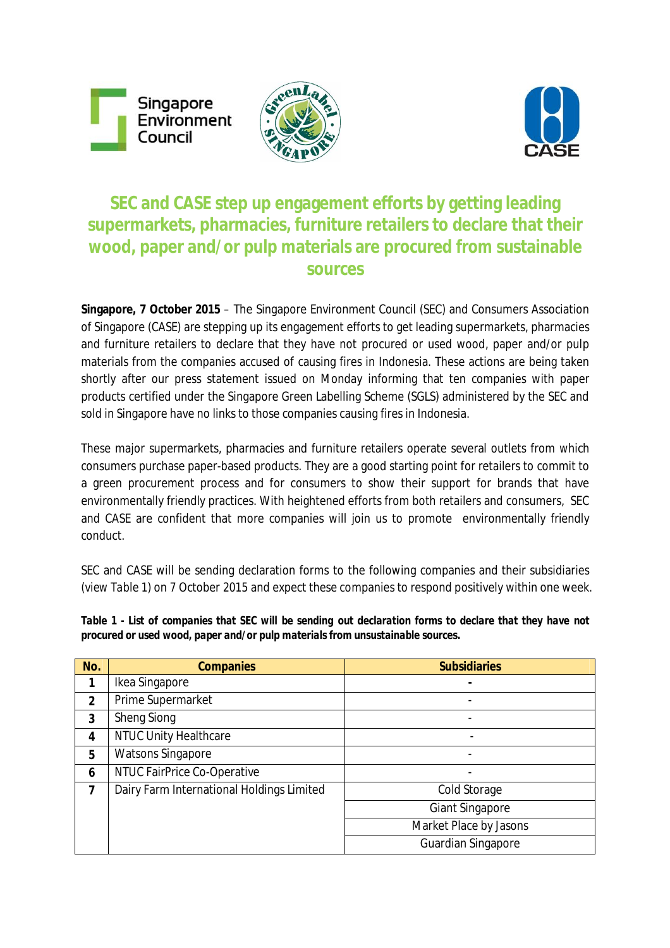Singapore Environment Council





# **SEC and CASE step up engagement efforts by getting leading supermarkets, pharmacies, furniture retailers to declare that their wood, paper and/or pulp materials are procured from sustainable sources**

**Singapore, 7 October 2015** – The Singapore Environment Council (SEC) and Consumers Association of Singapore (CASE) are stepping up its engagement efforts to get leading supermarkets, pharmacies and furniture retailers to declare that they have not procured or used wood, paper and/or pulp materials from the companies accused of causing fires in Indonesia. These actions are being taken shortly after our press statement issued on Monday informing that ten companies with paper products certified under the Singapore Green Labelling Scheme (SGLS) administered by the SEC and sold in Singapore have no links to those companies causing fires in Indonesia.

These major supermarkets, pharmacies and furniture retailers operate several outlets from which consumers purchase paper-based products. They are a good starting point for retailers to commit to a green procurement process and for consumers to show their support for brands that have environmentally friendly practices. With heightened efforts from both retailers and consumers, SEC and CASE are confident that more companies will join us to promote environmentally friendly conduct.

SEC and CASE will be sending declaration forms to the following companies and their subsidiaries (*view Table 1*) on 7 October 2015 and expect these companies to respond positively within one week.

*Table 1 - List of companies that SEC will be sending out declaration forms to declare that they have not procured or used wood, paper and/or pulp materials from unsustainable sources.*

| No.          | <b>Companies</b>                          | <b>Subsidiaries</b>       |
|--------------|-------------------------------------------|---------------------------|
|              | Ikea Singapore                            |                           |
| $\mathbf{2}$ | Prime Supermarket                         |                           |
| 3            | <b>Sheng Siong</b>                        |                           |
| 4            | <b>NTUC Unity Healthcare</b>              |                           |
| 5            | <b>Watsons Singapore</b>                  |                           |
| 6            | NTUC FairPrice Co-Operative               |                           |
| 7            | Dairy Farm International Holdings Limited | Cold Storage              |
|              |                                           | <b>Giant Singapore</b>    |
|              |                                           | Market Place by Jasons    |
|              |                                           | <b>Guardian Singapore</b> |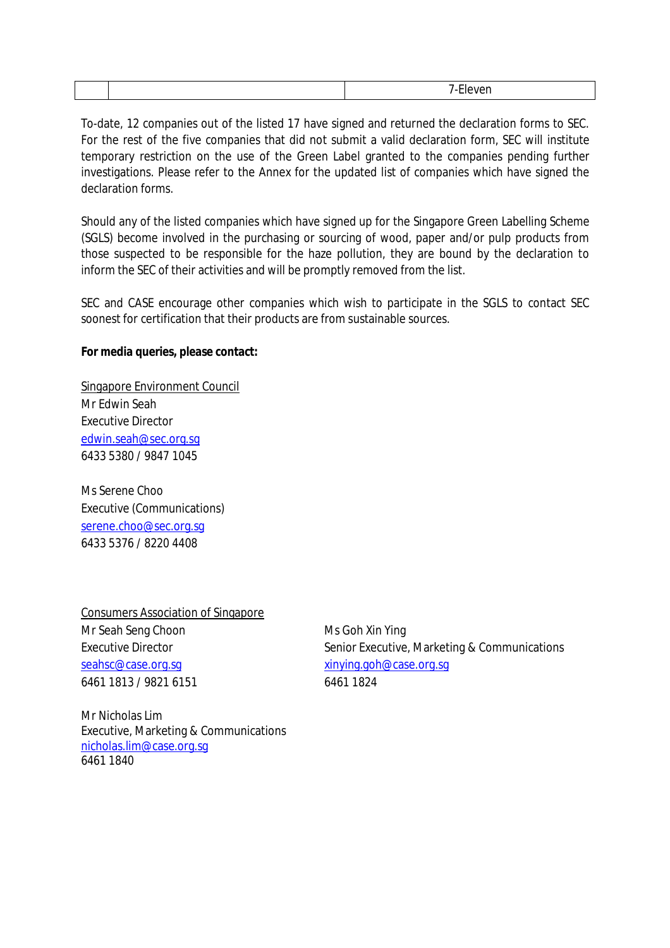To-date, 12 companies out of the listed 17 have signed and returned the declaration forms to SEC. For the rest of the five companies that did not submit a valid declaration form, SEC will institute temporary restriction on the use of the Green Label granted to the companies pending further investigations. Please refer to the Annex for the updated list of companies which have signed the declaration forms.

Should any of the listed companies which have signed up for the Singapore Green Labelling Scheme (SGLS) become involved in the purchasing or sourcing of wood, paper and/or pulp products from those suspected to be responsible for the haze pollution, they are bound by the declaration to inform the SEC of their activities and will be promptly removed from the list.

SEC and CASE encourage other companies which wish to participate in the SGLS to contact SEC soonest for certification that their products are from sustainable sources.

#### **For media queries, please contact:**

Singapore Environment Council Mr Edwin Seah Executive Director edwin.seah@sec.org.sg 6433 5380 / 9847 1045

Ms Serene Choo Executive (Communications) serene.choo@sec.org.sg 6433 5376 / 8220 4408

Consumers Association of Singapore Mr Seah Seng Choon Ms Goh Xin Ying seahsc@case.org.sg xinying.goh@case.org.sg 6461 1813 / 9821 6151 6461 1824

Executive Director **Senior Executive, Marketing & Communications** Senior Executive, Marketing & Communications

Mr Nicholas Lim Executive, Marketing & Communications nicholas.lim@case.org.sg 6461 1840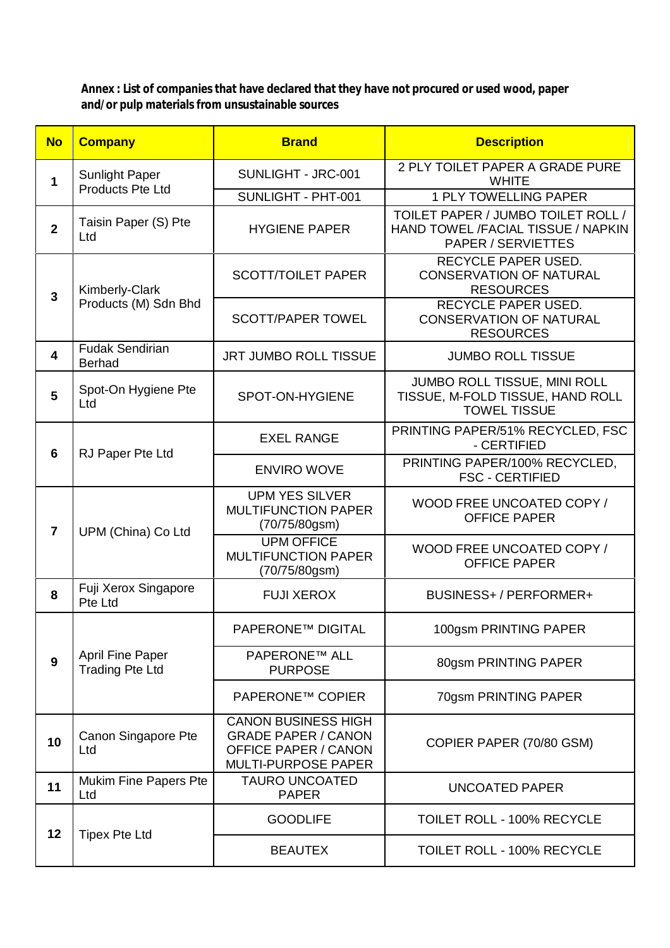**Annex : List of companies that have declared that they have not procured or used wood, paper and/or pulp materials from unsustainable sources**

| <b>No</b>      | <b>Company</b>                                    | <b>Brand</b>                                                                                                          | <b>Description</b>                                                                             |
|----------------|---------------------------------------------------|-----------------------------------------------------------------------------------------------------------------------|------------------------------------------------------------------------------------------------|
| $\mathbf 1$    | <b>Sunlight Paper</b><br><b>Products Pte Ltd</b>  | SUNLIGHT - JRC-001                                                                                                    | 2 PLY TOILET PAPER A GRADE PURE<br><b>WHITE</b>                                                |
|                |                                                   | SUNLIGHT - PHT-001                                                                                                    | <b>1 PLY TOWELLING PAPER</b>                                                                   |
| $\overline{2}$ | Taisin Paper (S) Pte<br>Ltd                       | <b>HYGIENE PAPER</b>                                                                                                  | TOILET PAPER / JUMBO TOILET ROLL /<br>HAND TOWEL /FACIAL TISSUE / NAPKIN<br>PAPER / SERVIETTES |
| $\overline{3}$ | Kimberly-Clark<br>Products (M) Sdn Bhd            | <b>SCOTT/TOILET PAPER</b>                                                                                             | <b>RECYCLE PAPER USED.</b><br><b>CONSERVATION OF NATURAL</b><br><b>RESOURCES</b>               |
|                |                                                   | <b>SCOTT/PAPER TOWEL</b>                                                                                              | <b>RECYCLE PAPER USED.</b><br><b>CONSERVATION OF NATURAL</b><br><b>RESOURCES</b>               |
| 4              | <b>Fudak Sendirian</b><br><b>Berhad</b>           | <b>JRT JUMBO ROLL TISSUE</b>                                                                                          | <b>JUMBO ROLL TISSUE</b>                                                                       |
| 5              | Spot-On Hygiene Pte<br>Ltd                        | SPOT-ON-HYGIENE                                                                                                       | JUMBO ROLL TISSUE, MINI ROLL<br>TISSUE, M-FOLD TISSUE, HAND ROLL<br><b>TOWEL TISSUE</b>        |
| 6              | RJ Paper Pte Ltd                                  | <b>EXEL RANGE</b>                                                                                                     | PRINTING PAPER/51% RECYCLED, FSC<br>- CERTIFIED                                                |
|                |                                                   | <b>ENVIRO WOVE</b>                                                                                                    | PRINTING PAPER/100% RECYCLED,<br><b>FSC - CERTIFIED</b>                                        |
| $\overline{7}$ | UPM (China) Co Ltd                                | <b>UPM YES SILVER</b><br><b>MULTIFUNCTION PAPER</b><br>(70/75/80gsm)                                                  | WOOD FREE UNCOATED COPY /<br><b>OFFICE PAPER</b>                                               |
|                |                                                   | <b>UPM OFFICE</b><br><b>MULTIFUNCTION PAPER</b><br>(70/75/80gsm)                                                      | WOOD FREE UNCOATED COPY /<br><b>OFFICE PAPER</b>                                               |
| 8              | Fuji Xerox Singapore<br>Pte Ltd                   | <b>FUJI XEROX</b>                                                                                                     | BUSINESS+/PERFORMER+                                                                           |
| 9              | <b>April Fine Paper</b><br><b>Trading Pte Ltd</b> | <b>PAPERONE™ DIGITAL</b>                                                                                              | 100gsm PRINTING PAPER                                                                          |
|                |                                                   | <b>PAPERONE™ ALL</b><br><b>PURPOSE</b>                                                                                | 80gsm PRINTING PAPER                                                                           |
|                |                                                   | <b>PAPERONE™ COPIER</b>                                                                                               | 70gsm PRINTING PAPER                                                                           |
| 10             | Canon Singapore Pte<br>Ltd                        | <b>CANON BUSINESS HIGH</b><br><b>GRADE PAPER / CANON</b><br><b>OFFICE PAPER / CANON</b><br><b>MULTI-PURPOSE PAPER</b> | COPIER PAPER (70/80 GSM)                                                                       |
| 11             | Mukim Fine Papers Pte<br>Ltd                      | <b>TAURO UNCOATED</b><br><b>PAPER</b>                                                                                 | UNCOATED PAPER                                                                                 |
| 12             | <b>Tipex Pte Ltd</b>                              | <b>GOODLIFE</b>                                                                                                       | <b>TOILET ROLL - 100% RECYCLE</b>                                                              |
|                |                                                   | <b>BEAUTEX</b>                                                                                                        | <b>TOILET ROLL - 100% RECYCLE</b>                                                              |